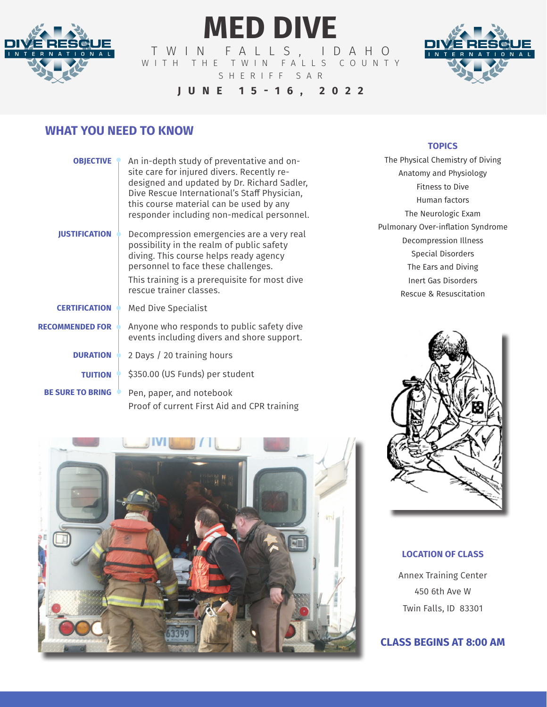

# **MED DIVE**

TWIN FALLS, IDAHO W I T H T H E T W I N F A L L S C O U N T Y SHERIFF SAR



## **JUNE 15-16, 2022**

# **WHAT YOU NEED TO KNOW**

| <b>OBJECTIVE</b>        | An in-depth study of preventative and on-<br>site care for injured divers. Recently re-<br>designed and updated by Dr. Richard Sadler,<br>Dive Rescue International's Staff Physician,<br>this course material can be used by any<br>responder including non-medical personnel. |
|-------------------------|---------------------------------------------------------------------------------------------------------------------------------------------------------------------------------------------------------------------------------------------------------------------------------|
| <b>IUSTIFICATION</b>    | Decompression emergencies are a very real<br>possibility in the realm of public safety<br>diving. This course helps ready agency<br>personnel to face these challenges.<br>This training is a prerequisite for most dive<br>rescue trainer classes.                             |
| <b>CERTIFICATION</b>    | Med Dive Specialist                                                                                                                                                                                                                                                             |
| <b>RECOMMENDED FOR</b>  | Anyone who responds to public safety dive<br>events including divers and shore support.                                                                                                                                                                                         |
| <b>DURATION</b>         | 2 Days / 20 training hours                                                                                                                                                                                                                                                      |
| <b>TUITION</b>          | \$350.00 (US Funds) per student                                                                                                                                                                                                                                                 |
| <b>BE SURE TO BRING</b> | Pen, paper, and notebook<br>Proof of current First Aid and CPR training                                                                                                                                                                                                         |

### **TOPICS**

The Physical Chemistry of Diving Anatomy and Physiology Fitness to Dive Human factors The Neurologic Exam Pulmonary Over-inflation Syndrome Decompression Illness Special Disorders The Ears and Diving Inert Gas Disorders Rescue & Resuscitation



### **LOCATION OF CLASS**

Annex Training Center 450 6th Ave W Twin Falls, ID 83301

### **CLASS BEGINS AT 8:00 AM**